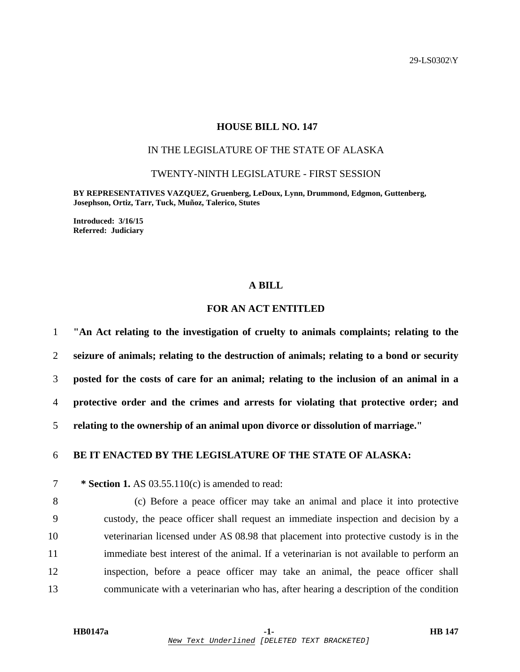29-LS0302\Y

### **HOUSE BILL NO. 147**

## IN THE LEGISLATURE OF THE STATE OF ALASKA

TWENTY-NINTH LEGISLATURE - FIRST SESSION

**BY REPRESENTATIVES VAZQUEZ, Gruenberg, LeDoux, Lynn, Drummond, Edgmon, Guttenberg, Josephson, Ortiz, Tarr, Tuck, Muñoz, Talerico, Stutes** 

**Introduced: 3/16/15 Referred: Judiciary** 

#### **A BILL**

# **FOR AN ACT ENTITLED**

**"An Act relating to the investigation of cruelty to animals complaints; relating to the seizure of animals; relating to the destruction of animals; relating to a bond or security posted for the costs of care for an animal; relating to the inclusion of an animal in a protective order and the crimes and arrests for violating that protective order; and relating to the ownership of an animal upon divorce or dissolution of marriage."** 

### 6 **BE IT ENACTED BY THE LEGISLATURE OF THE STATE OF ALASKA:**

7 **\* Section 1.** AS 03.55.110(c) is amended to read:

8 (c) Before a peace officer may take an animal and place it into protective 9 custody, the peace officer shall request an immediate inspection and decision by a 10 veterinarian licensed under AS 08.98 that placement into protective custody is in the 11 immediate best interest of the animal. If a veterinarian is not available to perform an 12 inspection, before a peace officer may take an animal, the peace officer shall 13 communicate with a veterinarian who has, after hearing a description of the condition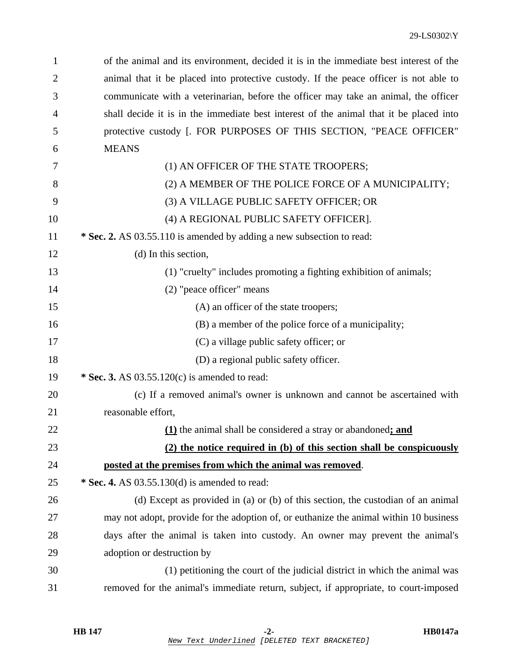| 1  | of the animal and its environment, decided it is in the immediate best interest of the |
|----|----------------------------------------------------------------------------------------|
| 2  | animal that it be placed into protective custody. If the peace officer is not able to  |
| 3  | communicate with a veterinarian, before the officer may take an animal, the officer    |
| 4  | shall decide it is in the immediate best interest of the animal that it be placed into |
| 5  | protective custody [. FOR PURPOSES OF THIS SECTION, "PEACE OFFICER"                    |
| 6  | <b>MEANS</b>                                                                           |
| 7  | (1) AN OFFICER OF THE STATE TROOPERS;                                                  |
| 8  | (2) A MEMBER OF THE POLICE FORCE OF A MUNICIPALITY;                                    |
| 9  | (3) A VILLAGE PUBLIC SAFETY OFFICER; OR                                                |
| 10 | (4) A REGIONAL PUBLIC SAFETY OFFICER].                                                 |
| 11 | * Sec. 2. AS 03.55.110 is amended by adding a new subsection to read:                  |
| 12 | (d) In this section,                                                                   |
| 13 | (1) "cruelty" includes promoting a fighting exhibition of animals;                     |
| 14 | (2) "peace officer" means                                                              |
| 15 | (A) an officer of the state troopers;                                                  |
| 16 | (B) a member of the police force of a municipality;                                    |
| 17 | (C) a village public safety officer; or                                                |
| 18 | (D) a regional public safety officer.                                                  |
| 19 | * Sec. 3. AS 03.55.120(c) is amended to read:                                          |
| 20 | (c) If a removed animal's owner is unknown and cannot be ascertained with              |
| 21 | reasonable effort,                                                                     |
| 22 | (1) the animal shall be considered a stray or abandoned; and                           |
| 23 | (2) the notice required in (b) of this section shall be conspicuously                  |
| 24 | posted at the premises from which the animal was removed.                              |
| 25 | * Sec. 4. AS 03.55.130(d) is amended to read:                                          |
| 26 | (d) Except as provided in (a) or (b) of this section, the custodian of an animal       |
| 27 | may not adopt, provide for the adoption of, or euthanize the animal within 10 business |
| 28 | days after the animal is taken into custody. An owner may prevent the animal's         |
| 29 | adoption or destruction by                                                             |
| 30 | (1) petitioning the court of the judicial district in which the animal was             |
| 31 | removed for the animal's immediate return, subject, if appropriate, to court-imposed   |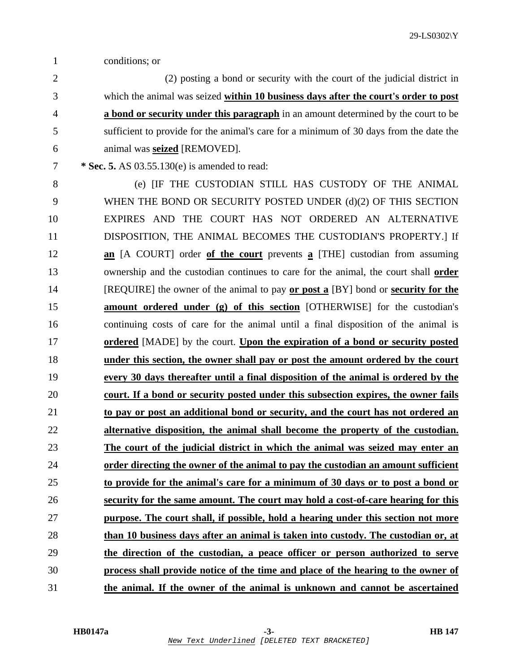- 1 conditions; or
- 2 (2) posting a bond or security with the court of the judicial district in 3 which the animal was seized **within 10 business days after the court's order to post** 4 **a bond or security under this paragraph** in an amount determined by the court to be 5 sufficient to provide for the animal's care for a minimum of 30 days from the date the 6 animal was **seized** [REMOVED].
- 7 **\* Sec. 5.** AS 03.55.130(e) is amended to read:
- 8 (e) [IF THE CUSTODIAN STILL HAS CUSTODY OF THE ANIMAL 9 WHEN THE BOND OR SECURITY POSTED UNDER (d)(2) OF THIS SECTION 10 EXPIRES AND THE COURT HAS NOT ORDERED AN ALTERNATIVE 11 DISPOSITION, THE ANIMAL BECOMES THE CUSTODIAN'S PROPERTY.] If 12 **an** [A COURT] order **of the court** prevents **a** [THE] custodian from assuming 13 ownership and the custodian continues to care for the animal, the court shall **order** 14 [REQUIRE] the owner of the animal to pay **or post a** [BY] bond or **security for the** 15 **amount ordered under (g) of this section** [OTHERWISE] for the custodian's 16 continuing costs of care for the animal until a final disposition of the animal is 17 **ordered** [MADE] by the court. **Upon the expiration of a bond or security posted** 18 **under this section, the owner shall pay or post the amount ordered by the court** 19 **every 30 days thereafter until a final disposition of the animal is ordered by the** 20 **court. If a bond or security posted under this subsection expires, the owner fails** 21 **to pay or post an additional bond or security, and the court has not ordered an** 22 **alternative disposition, the animal shall become the property of the custodian.** 23 **The court of the judicial district in which the animal was seized may enter an** 24 **order directing the owner of the animal to pay the custodian an amount sufficient** 25 **to provide for the animal's care for a minimum of 30 days or to post a bond or** 26 **security for the same amount. The court may hold a cost-of-care hearing for this** 27 **purpose. The court shall, if possible, hold a hearing under this section not more** 28 **than 10 business days after an animal is taken into custody. The custodian or, at** 29 **the direction of the custodian, a peace officer or person authorized to serve** 30 **process shall provide notice of the time and place of the hearing to the owner of** 31 **the animal. If the owner of the animal is unknown and cannot be ascertained**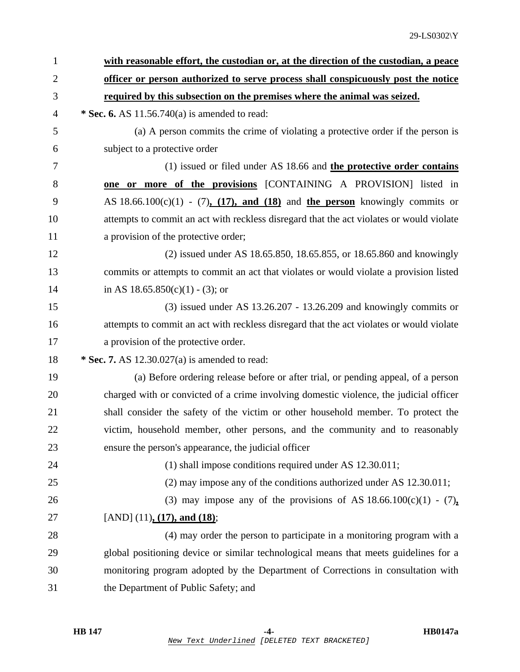| $\mathbf{1}$   | with reasonable effort, the custodian or, at the direction of the custodian, a peace     |
|----------------|------------------------------------------------------------------------------------------|
| $\overline{2}$ | officer or person authorized to serve process shall conspicuously post the notice        |
| 3              | required by this subsection on the premises where the animal was seized.                 |
| 4              | * Sec. 6. AS $11.56.740(a)$ is amended to read:                                          |
| 5              | (a) A person commits the crime of violating a protective order if the person is          |
| 6              | subject to a protective order                                                            |
| 7              | (1) issued or filed under AS 18.66 and the protective order contains                     |
| 8              | one or more of the provisions [CONTAINING A PROVISION] listed in                         |
| 9              | AS $18.66.100(c)(1)$ - (7), (17), and (18) and the person knowingly commits or           |
| 10             | attempts to commit an act with reckless disregard that the act violates or would violate |
| 11             | a provision of the protective order;                                                     |
| 12             | (2) issued under AS 18.65.850, 18.65.855, or 18.65.860 and knowingly                     |
| 13             | commits or attempts to commit an act that violates or would violate a provision listed   |
| 14             | in AS $18.65.850(c)(1) - (3)$ ; or                                                       |
| 15             | $(3)$ issued under AS 13.26.207 - 13.26.209 and knowingly commits or                     |
| 16             | attempts to commit an act with reckless disregard that the act violates or would violate |
| 17             | a provision of the protective order.                                                     |
| 18             | * Sec. 7. AS $12.30.027(a)$ is amended to read:                                          |
| 19             | (a) Before ordering release before or after trial, or pending appeal, of a person        |
| 20             | charged with or convicted of a crime involving domestic violence, the judicial officer   |
| 21             | shall consider the safety of the victim or other household member. To protect the        |
| 22             | victim, household member, other persons, and the community and to reasonably             |
| 23             | ensure the person's appearance, the judicial officer                                     |
| 24             | (1) shall impose conditions required under AS 12.30.011;                                 |
| 25             | $(2)$ may impose any of the conditions authorized under AS 12.30.011;                    |
| 26             | (3) may impose any of the provisions of AS $18.66.100(c)(1) - (7)$ ,                     |
| 27             | [AND] $(11)$ , $(17)$ , and $(18)$ ;                                                     |
| 28             | (4) may order the person to participate in a monitoring program with a                   |
| 29             | global positioning device or similar technological means that meets guidelines for a     |
| 30             | monitoring program adopted by the Department of Corrections in consultation with         |
| 31             | the Department of Public Safety; and                                                     |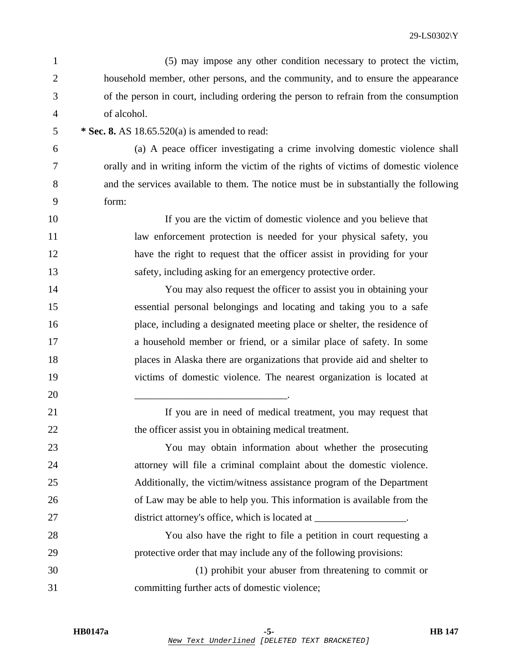- 1 (5) may impose any other condition necessary to protect the victim, 2 household member, other persons, and the community, and to ensure the appearance 3 of the person in court, including ordering the person to refrain from the consumption 4 of alcohol.
- 

5 **\* Sec. 8.** AS 18.65.520(a) is amended to read:

20 \_\_\_\_\_\_\_\_\_\_\_\_\_\_\_\_\_\_\_\_\_\_\_\_\_\_\_\_\_\_.

6 (a) A peace officer investigating a crime involving domestic violence shall 7 orally and in writing inform the victim of the rights of victims of domestic violence 8 and the services available to them. The notice must be in substantially the following 9 form:

10 If you are the victim of domestic violence and you believe that 11 law enforcement protection is needed for your physical safety, you 12 have the right to request that the officer assist in providing for your 13 safety, including asking for an emergency protective order.

14 You may also request the officer to assist you in obtaining your 15 essential personal belongings and locating and taking you to a safe 16 place, including a designated meeting place or shelter, the residence of 17 a household member or friend, or a similar place of safety. In some 18 places in Alaska there are organizations that provide aid and shelter to 19 victims of domestic violence. The nearest organization is located at

21 If you are in need of medical treatment, you may request that 22 the officer assist you in obtaining medical treatment.

23 You may obtain information about whether the prosecuting 24 attorney will file a criminal complaint about the domestic violence. 25 Additionally, the victim/witness assistance program of the Department 26 of Law may be able to help you. This information is available from the 27 district attorney's office, which is located at \_\_\_\_\_\_\_\_\_\_\_\_\_\_\_\_\_.

28 You also have the right to file a petition in court requesting a 29 protective order that may include any of the following provisions:

30 (1) prohibit your abuser from threatening to commit or 31 committing further acts of domestic violence;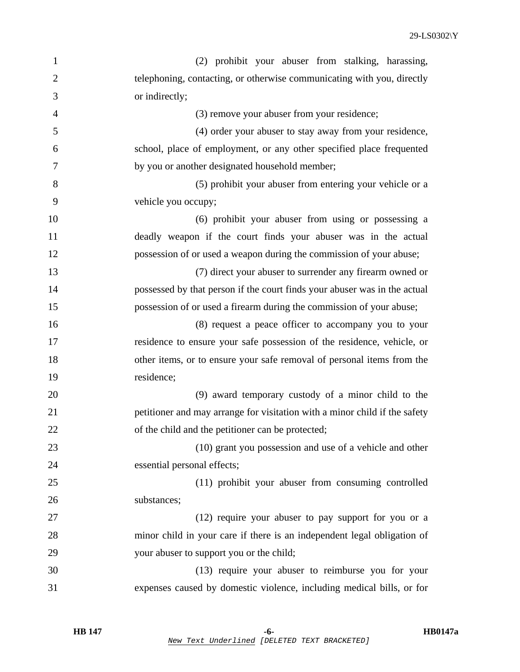29-LS0302\Y

| $\mathbf{1}$   | (2) prohibit your abuser from stalking, harassing,                         |
|----------------|----------------------------------------------------------------------------|
| $\overline{2}$ | telephoning, contacting, or otherwise communicating with you, directly     |
| 3              | or indirectly;                                                             |
| $\overline{4}$ | (3) remove your abuser from your residence;                                |
| 5              | (4) order your abuser to stay away from your residence,                    |
| 6              | school, place of employment, or any other specified place frequented       |
| 7              | by you or another designated household member;                             |
| 8              | (5) prohibit your abuser from entering your vehicle or a                   |
| 9              | vehicle you occupy;                                                        |
| 10             | (6) prohibit your abuser from using or possessing a                        |
| 11             | deadly weapon if the court finds your abuser was in the actual             |
| 12             | possession of or used a weapon during the commission of your abuse;        |
| 13             | (7) direct your abuser to surrender any firearm owned or                   |
| 14             | possessed by that person if the court finds your abuser was in the actual  |
| 15             | possession of or used a firearm during the commission of your abuse;       |
| 16             | (8) request a peace officer to accompany you to your                       |
| 17             | residence to ensure your safe possession of the residence, vehicle, or     |
| 18             | other items, or to ensure your safe removal of personal items from the     |
| 19             | residence;                                                                 |
| 20             | (9) award temporary custody of a minor child to the                        |
| 21             | petitioner and may arrange for visitation with a minor child if the safety |
| 22             | of the child and the petitioner can be protected;                          |
| 23             | (10) grant you possession and use of a vehicle and other                   |
| 24             | essential personal effects;                                                |
| 25             | (11) prohibit your abuser from consuming controlled                        |
| 26             | substances;                                                                |
| 27             | (12) require your abuser to pay support for you or a                       |
| 28             | minor child in your care if there is an independent legal obligation of    |
| 29             | your abuser to support you or the child;                                   |
| 30             | (13) require your abuser to reimburse you for your                         |
| 31             | expenses caused by domestic violence, including medical bills, or for      |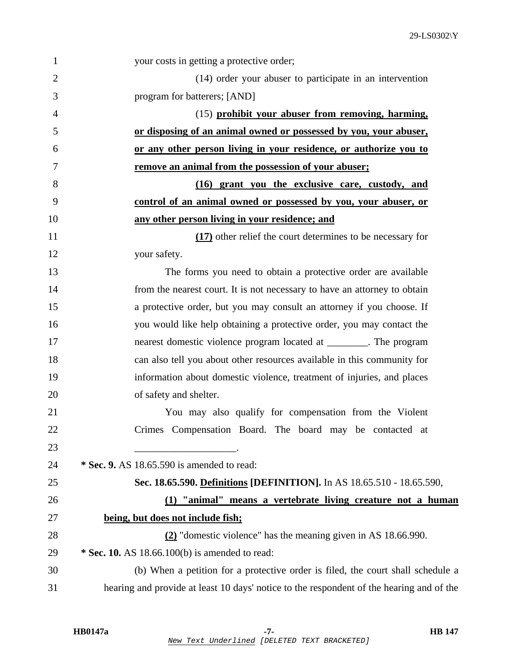| 1              | your costs in getting a protective order;                                                |
|----------------|------------------------------------------------------------------------------------------|
| $\overline{2}$ | (14) order your abuser to participate in an intervention                                 |
| 3              | program for batterers; [AND]                                                             |
| $\overline{4}$ | (15) prohibit your abuser from removing, harming,                                        |
| 5              | or disposing of an animal owned or possessed by you, your abuser,                        |
| 6              | or any other person living in your residence, or authorize you to                        |
| 7              | remove an animal from the possession of your abuser;                                     |
| 8              | (16) grant you the exclusive care, custody, and                                          |
| 9              | control of an animal owned or possessed by you, your abuser, or                          |
| 10             | any other person living in your residence; and                                           |
| 11             | (17) other relief the court determines to be necessary for                               |
| 12             | your safety.                                                                             |
| 13             | The forms you need to obtain a protective order are available                            |
| 14             | from the nearest court. It is not necessary to have an attorney to obtain                |
| 15             | a protective order, but you may consult an attorney if you choose. If                    |
| 16             | you would like help obtaining a protective order, you may contact the                    |
| 17             | nearest domestic violence program located at _________. The program                      |
| 18             | can also tell you about other resources available in this community for                  |
| 19             | information about domestic violence, treatment of injuries, and places                   |
| 20             | of safety and shelter.                                                                   |
| 21             | You may also qualify for compensation from the Violent                                   |
| 22             | Crimes Compensation Board. The board may be contacted at                                 |
| 23             |                                                                                          |
| 24             | * Sec. 9. AS 18.65.590 is amended to read:                                               |
| 25             | Sec. 18.65.590. Definitions [DEFINITION]. In AS 18.65.510 - 18.65.590,                   |
| 26             | (1) "animal" means a vertebrate living creature not a human                              |
| 27             | being, but does not include fish;                                                        |
| 28             | (2) "domestic violence" has the meaning given in AS 18.66.990.                           |
| 29             | * Sec. 10. AS 18.66.100(b) is amended to read:                                           |
| 30             | (b) When a petition for a protective order is filed, the court shall schedule a          |
| 31             | hearing and provide at least 10 days' notice to the respondent of the hearing and of the |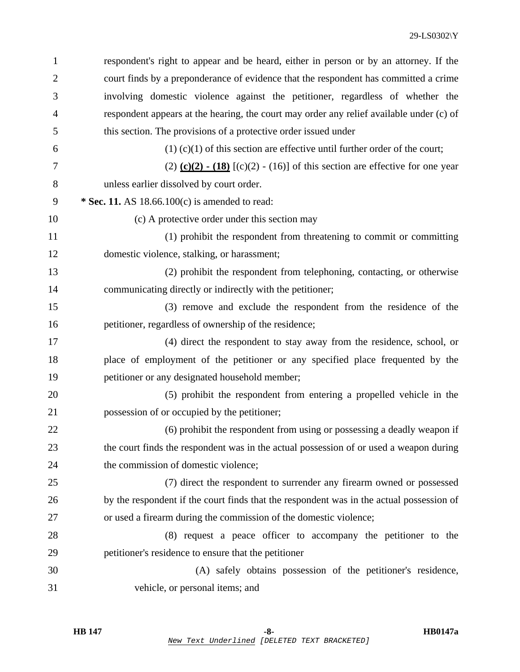| $\mathbf{1}$   | respondent's right to appear and be heard, either in person or by an attorney. If the              |
|----------------|----------------------------------------------------------------------------------------------------|
| $\overline{2}$ | court finds by a preponderance of evidence that the respondent has committed a crime               |
| 3              | involving domestic violence against the petitioner, regardless of whether the                      |
| $\overline{4}$ | respondent appears at the hearing, the court may order any relief available under (c) of           |
| 5              | this section. The provisions of a protective order issued under                                    |
| 6              | $(1)$ (c)(1) of this section are effective until further order of the court;                       |
| 7              | $(2)$ $(c)(2)$ $\cdot$ $(18)$ $[(c)(2)$ $\cdot$ $(16)]$ of this section are effective for one year |
| 8              | unless earlier dissolved by court order.                                                           |
| 9              | * Sec. 11. AS $18.66.100(c)$ is amended to read:                                                   |
| 10             | (c) A protective order under this section may                                                      |
| 11             | (1) prohibit the respondent from threatening to commit or committing                               |
| 12             | domestic violence, stalking, or harassment;                                                        |
| 13             | (2) prohibit the respondent from telephoning, contacting, or otherwise                             |
| 14             | communicating directly or indirectly with the petitioner;                                          |
| 15             | (3) remove and exclude the respondent from the residence of the                                    |
| 16             | petitioner, regardless of ownership of the residence;                                              |
| 17             | (4) direct the respondent to stay away from the residence, school, or                              |
| 18             | place of employment of the petitioner or any specified place frequented by the                     |
| 19             | petitioner or any designated household member;                                                     |
| 20             | (5) prohibit the respondent from entering a propelled vehicle in the                               |
| 21             | possession of or occupied by the petitioner;                                                       |
| 22             | (6) prohibit the respondent from using or possessing a deadly weapon if                            |
| 23             | the court finds the respondent was in the actual possession of or used a weapon during             |
| 24             | the commission of domestic violence;                                                               |
| 25             | (7) direct the respondent to surrender any firearm owned or possessed                              |
| 26             | by the respondent if the court finds that the respondent was in the actual possession of           |
| 27             | or used a firearm during the commission of the domestic violence;                                  |
| 28             | (8) request a peace officer to accompany the petitioner to the                                     |
| 29             | petitioner's residence to ensure that the petitioner                                               |
| 30             | (A) safely obtains possession of the petitioner's residence,                                       |
| 31             | vehicle, or personal items; and                                                                    |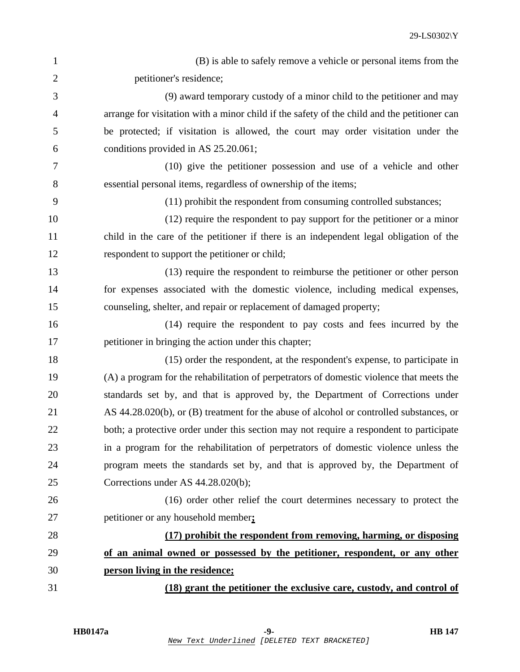| $\mathbf{1}$   | (B) is able to safely remove a vehicle or personal items from the                           |
|----------------|---------------------------------------------------------------------------------------------|
| $\overline{2}$ | petitioner's residence;                                                                     |
| 3              | (9) award temporary custody of a minor child to the petitioner and may                      |
| $\overline{4}$ | arrange for visitation with a minor child if the safety of the child and the petitioner can |
| 5              | be protected; if visitation is allowed, the court may order visitation under the            |
| 6              | conditions provided in AS 25.20.061;                                                        |
| 7              | (10) give the petitioner possession and use of a vehicle and other                          |
| 8              | essential personal items, regardless of ownership of the items;                             |
| 9              | (11) prohibit the respondent from consuming controlled substances;                          |
| 10             | (12) require the respondent to pay support for the petitioner or a minor                    |
| 11             | child in the care of the petitioner if there is an independent legal obligation of the      |
| 12             | respondent to support the petitioner or child;                                              |
| 13             | (13) require the respondent to reimburse the petitioner or other person                     |
| 14             | for expenses associated with the domestic violence, including medical expenses,             |
| 15             | counseling, shelter, and repair or replacement of damaged property;                         |
| 16             | (14) require the respondent to pay costs and fees incurred by the                           |
| 17             | petitioner in bringing the action under this chapter;                                       |
| 18             | (15) order the respondent, at the respondent's expense, to participate in                   |
| 19             | (A) a program for the rehabilitation of perpetrators of domestic violence that meets the    |
| 20             | standards set by, and that is approved by, the Department of Corrections under              |
| 21             | AS 44.28.020(b), or (B) treatment for the abuse of alcohol or controlled substances, or     |
| 22             | both; a protective order under this section may not require a respondent to participate     |
| 23             | in a program for the rehabilitation of perpetrators of domestic violence unless the         |
| 24             | program meets the standards set by, and that is approved by, the Department of              |
| 25             | Corrections under AS 44.28.020(b);                                                          |
| 26             | (16) order other relief the court determines necessary to protect the                       |
| 27             | petitioner or any household member;                                                         |
| 28             | (17) prohibit the respondent from removing, harming, or disposing                           |
| 29             | of an animal owned or possessed by the petitioner, respondent, or any other                 |
| 30             | person living in the residence;                                                             |
| 31             | (18) grant the petitioner the exclusive care, custody, and control of                       |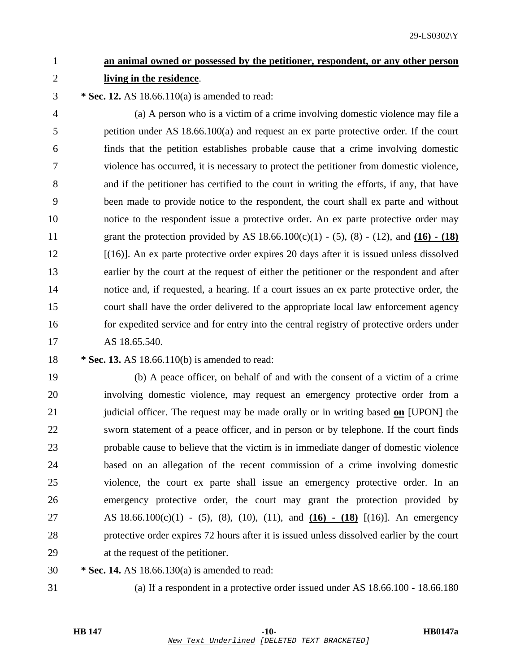# 1 **an animal owned or possessed by the petitioner, respondent, or any other person** 2 **living in the residence**.

3 **\* Sec. 12.** AS 18.66.110(a) is amended to read:

4 (a) A person who is a victim of a crime involving domestic violence may file a 5 petition under AS 18.66.100(a) and request an ex parte protective order. If the court 6 finds that the petition establishes probable cause that a crime involving domestic 7 violence has occurred, it is necessary to protect the petitioner from domestic violence, 8 and if the petitioner has certified to the court in writing the efforts, if any, that have 9 been made to provide notice to the respondent, the court shall ex parte and without 10 notice to the respondent issue a protective order. An ex parte protective order may 11 grant the protection provided by AS 18.66.100(c)(1) - (5), (8) - (12), and **(16) - (18)** 12 [(16)]. An ex parte protective order expires 20 days after it is issued unless dissolved 13 earlier by the court at the request of either the petitioner or the respondent and after 14 notice and, if requested, a hearing. If a court issues an ex parte protective order, the 15 court shall have the order delivered to the appropriate local law enforcement agency 16 for expedited service and for entry into the central registry of protective orders under 17 AS 18.65.540.

18 **\* Sec. 13.** AS 18.66.110(b) is amended to read:

19 (b) A peace officer, on behalf of and with the consent of a victim of a crime 20 involving domestic violence, may request an emergency protective order from a 21 judicial officer. The request may be made orally or in writing based **on** [UPON] the 22 sworn statement of a peace officer, and in person or by telephone. If the court finds 23 probable cause to believe that the victim is in immediate danger of domestic violence 24 based on an allegation of the recent commission of a crime involving domestic 25 violence, the court ex parte shall issue an emergency protective order. In an 26 emergency protective order, the court may grant the protection provided by 27 AS 18.66.100(c)(1) - (5), (8), (10), (11), and **(16) - (18)** [(16)]. An emergency 28 protective order expires 72 hours after it is issued unless dissolved earlier by the court 29 at the request of the petitioner.

30 **\* Sec. 14.** AS 18.66.130(a) is amended to read:

31 (a) If a respondent in a protective order issued under AS 18.66.100 - 18.66.180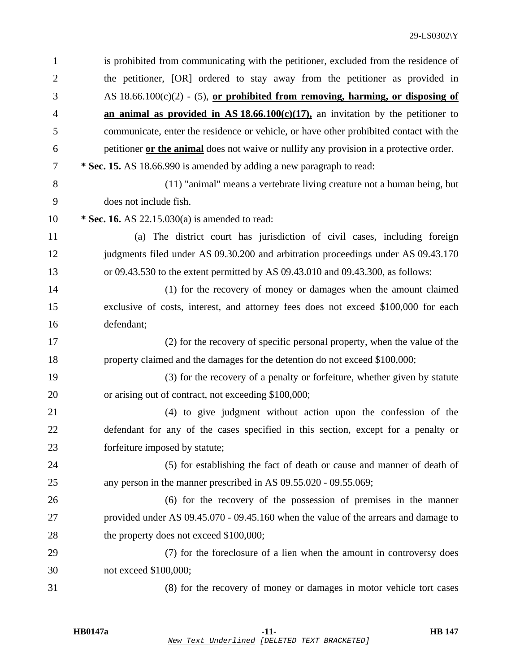| $\mathbf{1}$   | is prohibited from communicating with the petitioner, excluded from the residence of      |
|----------------|-------------------------------------------------------------------------------------------|
| $\overline{2}$ | the petitioner, [OR] ordered to stay away from the petitioner as provided in              |
| 3              | AS $18.66.100(c)(2)$ - (5), <u>or prohibited from removing</u> , harming, or disposing of |
| $\overline{4}$ | an animal as provided in AS $18.66.100(c)(17)$ , an invitation by the petitioner to       |
| 5              | communicate, enter the residence or vehicle, or have other prohibited contact with the    |
| 6              | petitioner or the animal does not waive or nullify any provision in a protective order.   |
| 7              | * Sec. 15. AS 18.66.990 is amended by adding a new paragraph to read:                     |
| 8              | (11) "animal" means a vertebrate living creature not a human being, but                   |
| 9              | does not include fish.                                                                    |
| 10             | * Sec. 16. AS 22.15.030(a) is amended to read:                                            |
| 11             | (a) The district court has jurisdiction of civil cases, including foreign                 |
| 12             | judgments filed under AS 09.30.200 and arbitration proceedings under AS 09.43.170         |
| 13             | or 09.43.530 to the extent permitted by AS 09.43.010 and 09.43.300, as follows:           |
| 14             | (1) for the recovery of money or damages when the amount claimed                          |
| 15             | exclusive of costs, interest, and attorney fees does not exceed \$100,000 for each        |
| 16             | defendant;                                                                                |
| 17             | (2) for the recovery of specific personal property, when the value of the                 |
| 18             | property claimed and the damages for the detention do not exceed \$100,000;               |
| 19             | (3) for the recovery of a penalty or forfeiture, whether given by statute                 |
| 20             | or arising out of contract, not exceeding \$100,000;                                      |
| 21             | (4) to give judgment without action upon the confession of the                            |
| 22             | defendant for any of the cases specified in this section, except for a penalty or         |
| 23             | forfeiture imposed by statute;                                                            |
| 24             | (5) for establishing the fact of death or cause and manner of death of                    |
| 25             | any person in the manner prescribed in AS 09.55.020 - 09.55.069;                          |
| 26             | (6) for the recovery of the possession of premises in the manner                          |
| 27             | provided under AS 09.45.070 - 09.45.160 when the value of the arrears and damage to       |
| 28             | the property does not exceed \$100,000;                                                   |
| 29             | (7) for the foreclosure of a lien when the amount in controversy does                     |
| 30             | not exceed \$100,000;                                                                     |
| 31             | (8) for the recovery of money or damages in motor vehicle tort cases                      |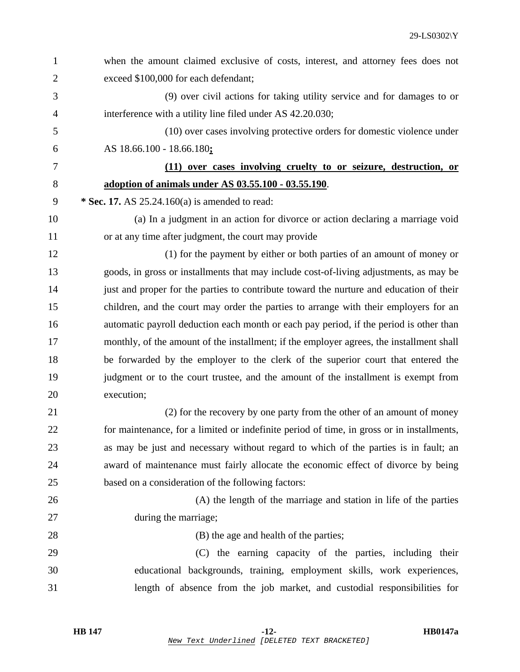| 1              | when the amount claimed exclusive of costs, interest, and attorney fees does not          |
|----------------|-------------------------------------------------------------------------------------------|
| $\overline{2}$ | exceed \$100,000 for each defendant;                                                      |
| 3              | (9) over civil actions for taking utility service and for damages to or                   |
| 4              | interference with a utility line filed under AS 42.20.030;                                |
| 5              | (10) over cases involving protective orders for domestic violence under                   |
| 6              | AS 18.66.100 - 18.66.180;                                                                 |
| 7              | (11) over cases involving cruelty to or seizure, destruction, or                          |
| 8              | adoption of animals under AS 03.55.100 - 03.55.190.                                       |
| 9              | * Sec. 17. AS $25.24.160(a)$ is amended to read:                                          |
| 10             | (a) In a judgment in an action for divorce or action declaring a marriage void            |
| 11             | or at any time after judgment, the court may provide                                      |
| 12             | (1) for the payment by either or both parties of an amount of money or                    |
| 13             | goods, in gross or installments that may include cost-of-living adjustments, as may be    |
| 14             | just and proper for the parties to contribute toward the nurture and education of their   |
| 15             | children, and the court may order the parties to arrange with their employers for an      |
| 16             | automatic payroll deduction each month or each pay period, if the period is other than    |
| 17             | monthly, of the amount of the installment; if the employer agrees, the installment shall  |
| 18             | be forwarded by the employer to the clerk of the superior court that entered the          |
| 19             | judgment or to the court trustee, and the amount of the installment is exempt from        |
| 20             | execution;                                                                                |
| 21             | (2) for the recovery by one party from the other of an amount of money                    |
| 22             | for maintenance, for a limited or indefinite period of time, in gross or in installments, |
| 23             | as may be just and necessary without regard to which of the parties is in fault; an       |
| 24             | award of maintenance must fairly allocate the economic effect of divorce by being         |
| 25             | based on a consideration of the following factors:                                        |
| 26             | (A) the length of the marriage and station in life of the parties                         |
| 27             | during the marriage;                                                                      |
| 28             | (B) the age and health of the parties;                                                    |
| 29             | (C) the earning capacity of the parties, including their                                  |
| 30             | educational backgrounds, training, employment skills, work experiences,                   |
| 31             | length of absence from the job market, and custodial responsibilities for                 |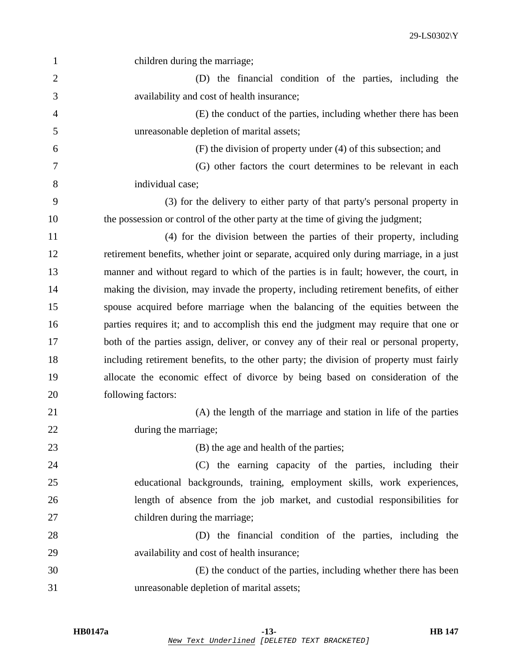| 1              | children during the marriage;                                                            |
|----------------|------------------------------------------------------------------------------------------|
| $\overline{2}$ | (D) the financial condition of the parties, including the                                |
| 3              | availability and cost of health insurance;                                               |
| 4              | (E) the conduct of the parties, including whether there has been                         |
| 5              | unreasonable depletion of marital assets;                                                |
| 6              | (F) the division of property under (4) of this subsection; and                           |
| 7              | (G) other factors the court determines to be relevant in each                            |
| 8              | individual case;                                                                         |
| 9              | (3) for the delivery to either party of that party's personal property in                |
| 10             | the possession or control of the other party at the time of giving the judgment;         |
| 11             | (4) for the division between the parties of their property, including                    |
| 12             | retirement benefits, whether joint or separate, acquired only during marriage, in a just |
| 13             | manner and without regard to which of the parties is in fault; however, the court, in    |
| 14             | making the division, may invade the property, including retirement benefits, of either   |
| 15             | spouse acquired before marriage when the balancing of the equities between the           |
| 16             | parties requires it; and to accomplish this end the judgment may require that one or     |
| 17             | both of the parties assign, deliver, or convey any of their real or personal property,   |
| 18             | including retirement benefits, to the other party; the division of property must fairly  |
| 19             | allocate the economic effect of divorce by being based on consideration of the           |
| 20             | following factors:                                                                       |
| 21             | (A) the length of the marriage and station in life of the parties                        |
| 22             | during the marriage;                                                                     |
| 23             | (B) the age and health of the parties;                                                   |
| 24             | (C) the earning capacity of the parties, including their                                 |
| 25             | educational backgrounds, training, employment skills, work experiences,                  |
| 26             | length of absence from the job market, and custodial responsibilities for                |
| 27             | children during the marriage;                                                            |
| 28             | (D) the financial condition of the parties, including the                                |
| 29             | availability and cost of health insurance;                                               |
| 30             | (E) the conduct of the parties, including whether there has been                         |
| 31             | unreasonable depletion of marital assets;                                                |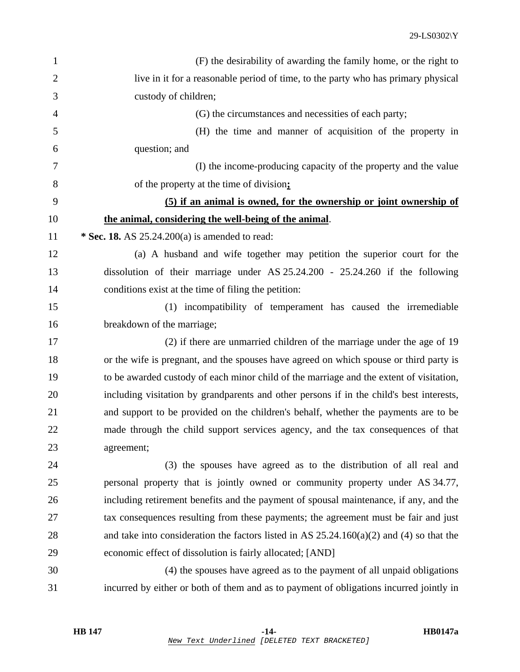| $\mathbf{1}$   | (F) the desirability of awarding the family home, or the right to                          |
|----------------|--------------------------------------------------------------------------------------------|
| $\overline{2}$ | live in it for a reasonable period of time, to the party who has primary physical          |
| 3              | custody of children;                                                                       |
| $\overline{4}$ | (G) the circumstances and necessities of each party;                                       |
| 5              | (H) the time and manner of acquisition of the property in                                  |
| 6              | question; and                                                                              |
| 7              | (I) the income-producing capacity of the property and the value                            |
| 8              | of the property at the time of division;                                                   |
| 9              | (5) if an animal is owned, for the ownership or joint ownership of                         |
| 10             | the animal, considering the well-being of the animal.                                      |
| 11             | * Sec. 18. AS $25.24.200(a)$ is amended to read:                                           |
| 12             | (a) A husband and wife together may petition the superior court for the                    |
| 13             | dissolution of their marriage under AS $25.24.200 - 25.24.260$ if the following            |
| 14             | conditions exist at the time of filing the petition:                                       |
| 15             | (1) incompatibility of temperament has caused the irremediable                             |
| 16             | breakdown of the marriage;                                                                 |
| 17             | (2) if there are unmarried children of the marriage under the age of 19                    |
| 18             | or the wife is pregnant, and the spouses have agreed on which spouse or third party is     |
| 19             | to be awarded custody of each minor child of the marriage and the extent of visitation,    |
| 20             | including visitation by grandparents and other persons if in the child's best interests,   |
| 21             | and support to be provided on the children's behalf, whether the payments are to be        |
| 22             | made through the child support services agency, and the tax consequences of that           |
| 23             | agreement;                                                                                 |
| 24             | (3) the spouses have agreed as to the distribution of all real and                         |
| 25             | personal property that is jointly owned or community property under AS 34.77,              |
| 26             | including retirement benefits and the payment of spousal maintenance, if any, and the      |
| 27             | tax consequences resulting from these payments; the agreement must be fair and just        |
| 28             | and take into consideration the factors listed in AS $25.24.160(a)(2)$ and (4) so that the |
| 29             | economic effect of dissolution is fairly allocated; [AND]                                  |
| 30             | (4) the spouses have agreed as to the payment of all unpaid obligations                    |
| 31             | incurred by either or both of them and as to payment of obligations incurred jointly in    |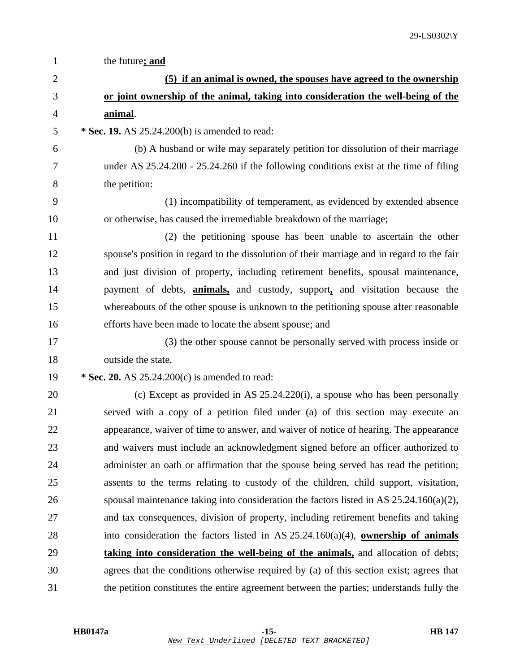| $\mathbf{1}$   | the future; and                                                                             |
|----------------|---------------------------------------------------------------------------------------------|
| $\overline{2}$ | (5) if an animal is owned, the spouses have agreed to the ownership                         |
| 3              | or joint ownership of the animal, taking into consideration the well-being of the           |
| $\overline{4}$ | animal.                                                                                     |
| 5              | * Sec. 19. AS 25.24.200(b) is amended to read:                                              |
| 6              | (b) A husband or wife may separately petition for dissolution of their marriage             |
| 7              | under AS $25.24.200 - 25.24.260$ if the following conditions exist at the time of filing    |
| 8              | the petition:                                                                               |
| 9              | (1) incompatibility of temperament, as evidenced by extended absence                        |
| 10             | or otherwise, has caused the irremediable breakdown of the marriage;                        |
| 11             | (2) the petitioning spouse has been unable to ascertain the other                           |
| 12             | spouse's position in regard to the dissolution of their marriage and in regard to the fair  |
| 13             | and just division of property, including retirement benefits, spousal maintenance,          |
| 14             | payment of debts, <b>animals</b> , and custody, support, and visitation because the         |
| 15             | whereabouts of the other spouse is unknown to the petitioning spouse after reasonable       |
| 16             | efforts have been made to locate the absent spouse; and                                     |
| 17             | (3) the other spouse cannot be personally served with process inside or                     |
| 18             | outside the state.                                                                          |
| 19             | * Sec. 20. AS $25.24.200(c)$ is amended to read:                                            |
| 20             | (c) Except as provided in AS $25.24.220(i)$ , a spouse who has been personally              |
| 21             | served with a copy of a petition filed under (a) of this section may execute an             |
| 22             | appearance, waiver of time to answer, and waiver of notice of hearing. The appearance       |
| 23             | and waivers must include an acknowledgment signed before an officer authorized to           |
| 24             | administer an oath or affirmation that the spouse being served has read the petition;       |
| 25             | assents to the terms relating to custody of the children, child support, visitation,        |
| 26             | spousal maintenance taking into consideration the factors listed in AS 25.24.160(a)(2),     |
| 27             | and tax consequences, division of property, including retirement benefits and taking        |
| 28             | into consideration the factors listed in AS $25.24.160(a)(4)$ , <b>ownership of animals</b> |
| 29             | taking into consideration the well-being of the animals, and allocation of debts;           |
| 30             | agrees that the conditions otherwise required by (a) of this section exist; agrees that     |
| 31             | the petition constitutes the entire agreement between the parties; understands fully the    |
|                |                                                                                             |